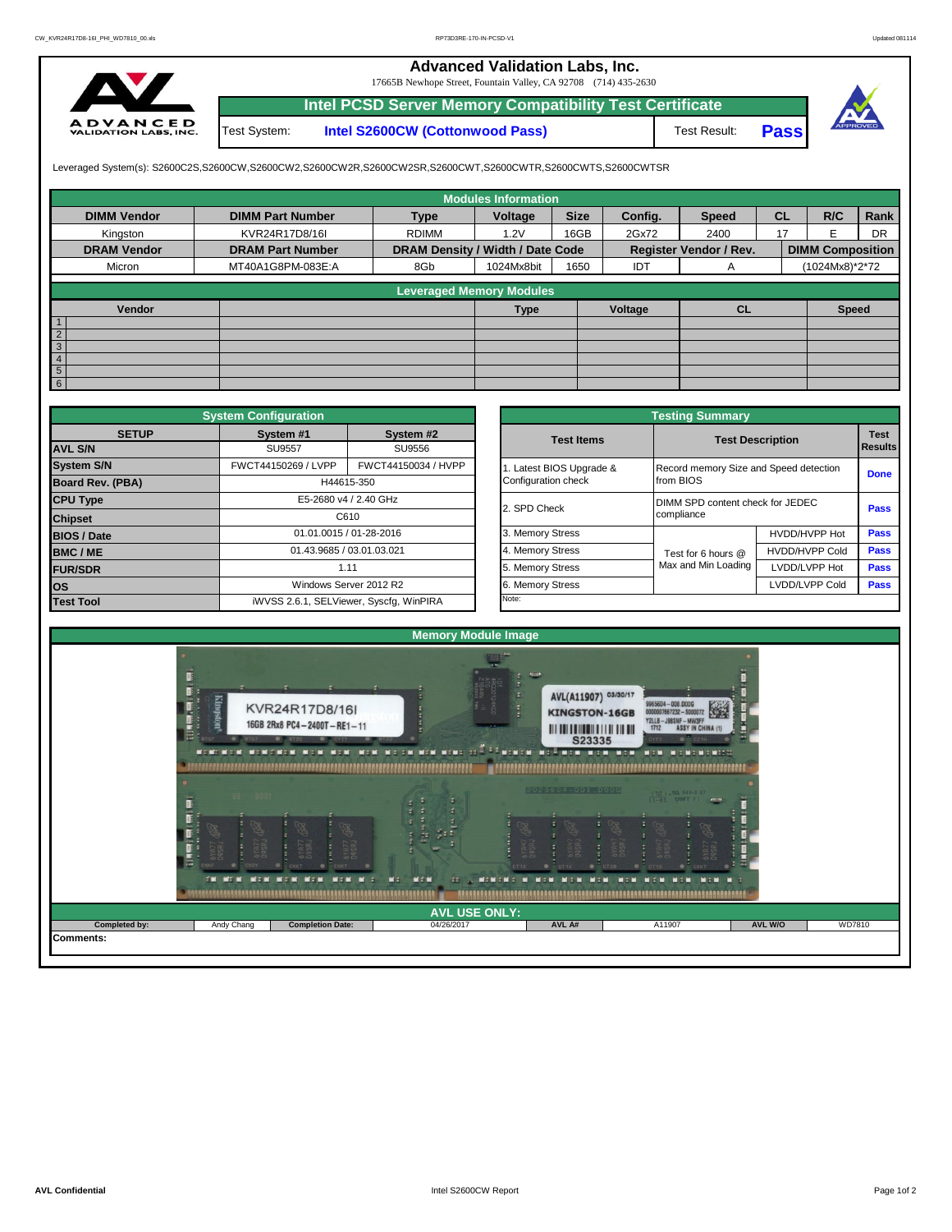## **Advanced Validation Labs, Inc.**

17665B Newhope Street, Fountain Valley, CA 92708 (714) 435-2630



**Intel PCSD Server Memory Compatibility Test Certificate** Test Result: **Pass** Test System: **Intel S2600CW (Cottonwood Pass)**



Leveraged System(s): S2600C2S,S2600CW,S2600CW2,S2600CW2R,S2600CW2SR,S2600CWT,S2600CWTR,S2600CWTS,S2600CWTSR

|                                 |                         |                                  | <b>Modules Information</b> |             |         |                               |           |                         |           |
|---------------------------------|-------------------------|----------------------------------|----------------------------|-------------|---------|-------------------------------|-----------|-------------------------|-----------|
| <b>DIMM Vendor</b>              | <b>DIMM Part Number</b> | <b>Type</b>                      | Voltage                    | <b>Size</b> | Config. | <b>Speed</b>                  | <b>CL</b> | R/C                     | Rank      |
| Kingston                        | KVR24R17D8/16I          | <b>RDIMM</b>                     | 1.2V                       | 16GB        | 2Gx72   | 2400                          | 17        |                         | <b>DR</b> |
| <b>DRAM Vendor</b>              | <b>DRAM Part Number</b> | DRAM Density / Width / Date Code |                            |             |         | <b>Register Vendor / Rev.</b> |           | <b>DIMM Composition</b> |           |
| Micron                          | MT40A1G8PM-083E:A       | 8Gb                              | 1024Mx8bit                 | 1650        | IDT     | A                             |           | (1024Mx8)*2*72          |           |
|                                 |                         |                                  |                            |             |         |                               |           |                         |           |
| <b>Leveraged Memory Modules</b> |                         |                                  |                            |             |         |                               |           |                         |           |
| Vendor                          |                         |                                  | <b>Type</b>                |             | Voltage | <b>CL</b>                     |           | <b>Speed</b>            |           |
|                                 |                         |                                  |                            |             |         |                               |           |                         |           |
| $\overline{2}$                  |                         |                                  |                            |             |         |                               |           |                         |           |
| $\mathbf{3}$                    |                         |                                  |                            |             |         |                               |           |                         |           |
| 4                               |                         |                                  |                            |             |         |                               |           |                         |           |
| $5\overline{5}$                 |                         |                                  |                            |             |         |                               |           |                         |           |
| $6\phantom{1}$                  |                         |                                  |                            |             |         |                               |           |                         |           |

|                                          | <b>System Configuration</b> |                                         |  | <b>Testing Summary</b> |                                        |                                  |                        |  |  |  |  |  |
|------------------------------------------|-----------------------------|-----------------------------------------|--|------------------------|----------------------------------------|----------------------------------|------------------------|--|--|--|--|--|
| <b>SETUP</b>                             | System #1                   | System #2                               |  | <b>Test Items</b>      |                                        | <b>Test Description</b>          | <b>Test</b><br>Results |  |  |  |  |  |
| <b>AVL S/N</b>                           | <b>SU9557</b>               | SU9556                                  |  |                        |                                        |                                  |                        |  |  |  |  |  |
| <b>System S/N</b>                        | FWCT44150269 / LVPP         | FWCT44150034 / HVPP                     |  | Latest BIOS Upgrade &  | Record memory Size and Speed detection |                                  | <b>Done</b>            |  |  |  |  |  |
| Board Rev. (PBA)                         |                             | H44615-350                              |  | Configuration check    | from BIOS                              |                                  |                        |  |  |  |  |  |
| <b>CPU Type</b><br>E5-2680 v4 / 2.40 GHz |                             |                                         |  | 2. SPD Check           |                                        | DIMM SPD content check for JEDEC |                        |  |  |  |  |  |
| <b>Chipset</b>                           |                             | C610                                    |  |                        | compliance                             |                                  |                        |  |  |  |  |  |
| <b>BIOS / Date</b>                       |                             | 01.01.0015 / 01-28-2016                 |  | 3. Memory Stress       |                                        | HVDD/HVPP Hot                    | <b>Pass</b>            |  |  |  |  |  |
| <b>BMC/ME</b>                            | 01.43.9685 / 03.01.03.021   |                                         |  | 4. Memory Stress       | Test for 6 hours @                     | <b>HVDD/HVPP Cold</b>            | <b>Pass</b>            |  |  |  |  |  |
| <b>FUR/SDR</b>                           |                             | 1.11                                    |  | 5. Memory Stress       | Max and Min Loading                    | LVDD/LVPP Hot                    | <b>Pass</b>            |  |  |  |  |  |
| <b>los</b>                               |                             | Windows Server 2012 R2                  |  | 6. Memory Stress       |                                        | LVDD/LVPP Cold                   | Pass                   |  |  |  |  |  |
| <b>Test Tool</b>                         |                             | iWVSS 2.6.1, SELViewer, Syscfq, WinPIRA |  | Note:                  |                                        |                                  |                        |  |  |  |  |  |

|              | <b>System Configuration</b> |                                         |                       | <b>Testing Summary</b>                 |                         |                                                                                      |  |  |
|--------------|-----------------------------|-----------------------------------------|-----------------------|----------------------------------------|-------------------------|--------------------------------------------------------------------------------------|--|--|
| <b>SETUP</b> | System #1                   | System #2                               | <b>Test Items</b>     |                                        | <b>Test Description</b> |                                                                                      |  |  |
|              | <b>SU9557</b>               | SU9556                                  |                       |                                        |                         |                                                                                      |  |  |
|              | FWCT44150269 / LVPP         | FWCT44150034 / HVPP                     | Latest BIOS Upgrade & | Record memory Size and Speed detection |                         |                                                                                      |  |  |
| PBA)         |                             | H44615-350                              | Configuration check   | from BIOS                              |                         |                                                                                      |  |  |
|              |                             | E5-2680 v4 / 2.40 GHz                   |                       | DIMM SPD content check for JEDEC       |                         |                                                                                      |  |  |
|              |                             | C610                                    | 2. SPD Check          | compliance                             |                         |                                                                                      |  |  |
|              |                             | 01.01.0015 / 01-28-2016                 | 3. Memory Stress      |                                        | HVDD/HVPP Hot           |                                                                                      |  |  |
|              |                             | 01.43.9685 / 03.01.03.021               | 4. Memory Stress      | Test for 6 hours @                     | <b>HVDD/HVPP Cold</b>   | <b>Test</b><br><b>Results</b><br><b>Done</b><br>Pass<br>Pass<br>Pass<br>Pass<br>Pass |  |  |
|              |                             | 1.11                                    | 5. Memory Stress      | Max and Min Loading                    | LVDD/LVPP Hot           |                                                                                      |  |  |
|              |                             | Windows Server 2012 R2                  | 6. Memory Stress      |                                        | LVDD/LVPP Cold          |                                                                                      |  |  |
|              |                             | iWVSS 2.6.1, SELViewer, Syscfq, WinPIRA | Note:                 |                                        |                         |                                                                                      |  |  |